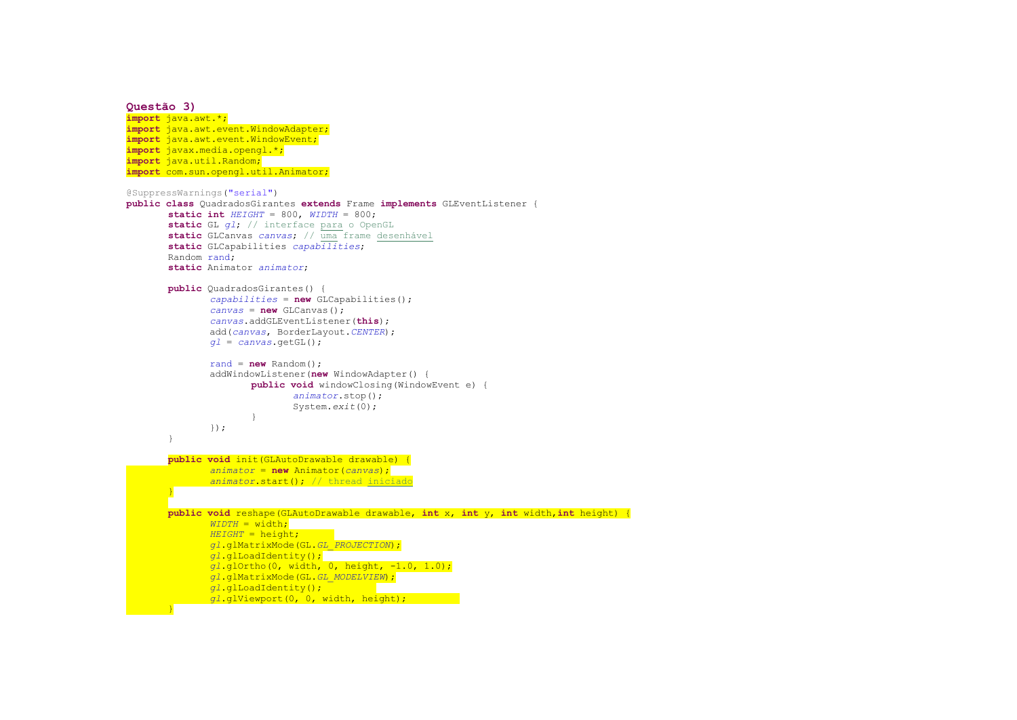```
Questão 3) 
import java.awt.*; 
import java.awt.event.WindowAdapter; import java.awt.event.WindowEvent; import javax.media.opengl.*; import java.util.Random; 
import com.sun.opengl.util.Animator; @SuppressWarnings("serial") 
public class QuadradosGirantes extends Frame implements GLEventListener { 
       static int HEIGHT = 800, WIDTH = 800; 
       static GL gl; // interface para o OpenGL
static GLCanvas canvas; // uma frame desenhávelstatic GLCapabilities capabilities;  Random rand; 
static Animator animator; public QuadradosGirantes() { 
capabilities =new GLCapabilities(); canvas =new GLCanvas(); 
canvas.addGLEventListener(this); 
 add(canvas, BorderLayout.CENTER); gl =canvas.getGL(); rand = new Random(); 
 addWindowListener(new WindowAdapter() { 
public void windowClosing(WindowEvent e) { 
                            animator.stop();  System.exit(0);  }  });  } public void init(GLAutoDrawable drawable) { 
              animator =new Animator(canvas); 
animator.start(); // thread iniciado}
       public void reshape(GLAutoDrawable drawable, int x, int y, int width,int height) { 
              WIDTH = width; 
HEIGHT = height; 
gl.glMatrixMode(GL.GL_PROJECTION); gl.glLoadIdentity(); 
gl.glOrtho(0, width, 0, height, -1.0, 1.0); gl.glMatrixMode(GL.GL_MODELVIEW); gl.glLoadIdentity(); 
gl.glViewport(0, 0, width, height);
```
*}*